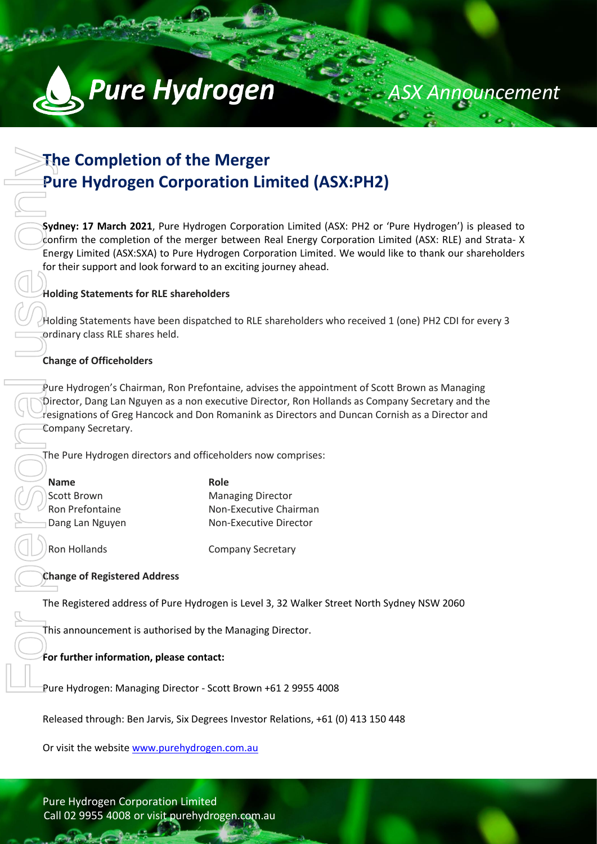

# **The Completion of the Merger Pure Hydrogen Corporation Limited (ASX:PH2)**

**Sydney: 17 March 2021**, Pure Hydrogen Corporation Limited (ASX: PH2 or 'Pure Hydrogen') is pleased to confirm the completion of the merger between Real Energy Corporation Limited (ASX: RLE) and Strata- X Energy Limited (ASX:SXA) to Pure Hydrogen Corporation Limited. We would like to thank our shareholders for their support and look forward to an exciting journey ahead.

*ASX Announcement*

### **Holding Statements for RLE shareholders**

Holding Statements have been dispatched to RLE shareholders who received 1 (one) PH2 CDI for every 3 ordinary class RLE shares held.

## **Change of Officeholders**

Pure Hydrogen's Chairman, Ron Prefontaine, advises the appointment of Scott Brown as Managing Director, Dang Lan Nguyen as a non executive Director, Ron Hollands as Company Secretary and the  $r$ esignations of Greg Hancock and Don Romanink as Directors and Duncan Cornish as a Director and Company Secretary. The Completion of the Merger<br>
Pure Hydrogen Corporation I<br>
Sydney: 17 March 2021, Pure Hydrogen Corpo<br>
Confirm the completion of the merger betweer<br>
for their support and look forward to an exiding<br>
for their support and l

The Pure Hydrogen directors and officeholders now comprises:

| <b>Name</b>      | Role |
|------------------|------|
| ∣Scott Brown     | Man  |
| Ron Prefontaine  | Non- |
| ∃Dang Lan Nguyen | Non- |
|                  |      |

**Managing Director Non-Executive Chairman Non-Executive Director** 

Ron Hollands **Company Secretary** 

### **Change of Registered Address**

The Registered address of Pure Hydrogen is Level 3, 32 Walker Street North Sydney NSW 2060

This announcement is authorised by the Managing Director.

### **For further information, please contact:**

Pure Hydrogen: Managing Director - Scott Brown +61 2 9955 4008

Released through: Ben Jarvis, Six Degrees Investor Relations, +61 (0) 413 150 448

Call 02 9955 4008 or visit purehydrogen.com.au Pure Hydrogen Corporation Limited